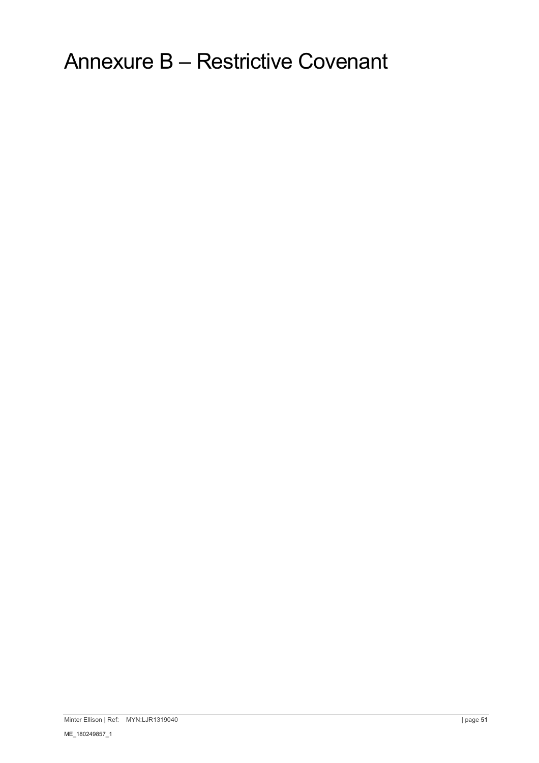Annexure B – Restrictive Covenant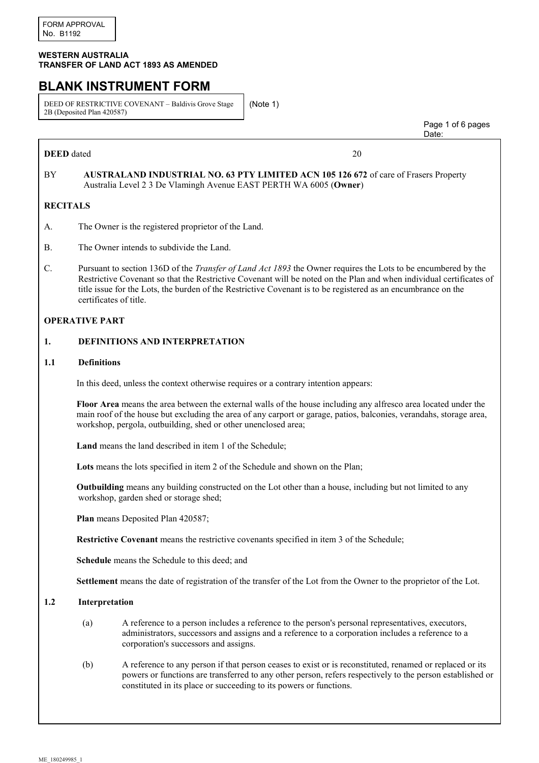#### **WESTERN AUSTRALIA TRANSFER OF LAND ACT 1893 AS AMENDED**

# **BLANK INSTRUMENT FORM**

DEED OF RESTRICTIVE COVENANT – Baldivis Grove Stage 2B (Deposited Plan 420587)

(Note 1)

**DEED** dated 20

 Page 1 of 6 pages discussion of the contract of the contract of the contract of the contract of the contract of the contract of the contract of the contract of the contract of the contract of the contract of the contract of the contract of

# BY **AUSTRALAND INDUSTRIAL NO. 63 PTY LIMITED ACN 105 126 672** of care of Frasers Property Australia Level 2 3 De Vlamingh Avenue EAST PERTH WA 6005 (**Owner**)

## **RECITALS**

- A. The Owner is the registered proprietor of the Land.
- B. The Owner intends to subdivide the Land.
- C. Pursuant to section 136D of the *Transfer of Land Act 1893* the Owner requires the Lots to be encumbered by the Restrictive Covenant so that the Restrictive Covenant will be noted on the Plan and when individual certificates of title issue for the Lots, the burden of the Restrictive Covenant is to be registered as an encumbrance on the certificates of title.

#### **OPERATIVE PART**

#### **1. DEFINITIONS AND INTERPRETATION**

#### **1.1 Definitions**

In this deed, unless the context otherwise requires or a contrary intention appears:

**Floor Area** means the area between the external walls of the house including any alfresco area located under the main roof of the house but excluding the area of any carport or garage, patios, balconies, verandahs, storage area, workshop, pergola, outbuilding, shed or other unenclosed area;

**Land** means the land described in item 1 of the Schedule;

**Lots** means the lots specified in item 2 of the Schedule and shown on the Plan;

**Outbuilding** means any building constructed on the Lot other than a house, including but not limited to any workshop, garden shed or storage shed;

**Plan** means Deposited Plan 420587;

**Restrictive Covenant** means the restrictive covenants specified in item 3 of the Schedule;

**Schedule** means the Schedule to this deed; and

**Settlement** means the date of registration of the transfer of the Lot from the Owner to the proprietor of the Lot.

#### **1.2 Interpretation**

- (a) A reference to a person includes a reference to the person's personal representatives, executors, administrators, successors and assigns and a reference to a corporation includes a reference to a corporation's successors and assigns.
- (b) A reference to any person if that person ceases to exist or is reconstituted, renamed or replaced or its powers or functions are transferred to any other person, refers respectively to the person established or constituted in its place or succeeding to its powers or functions.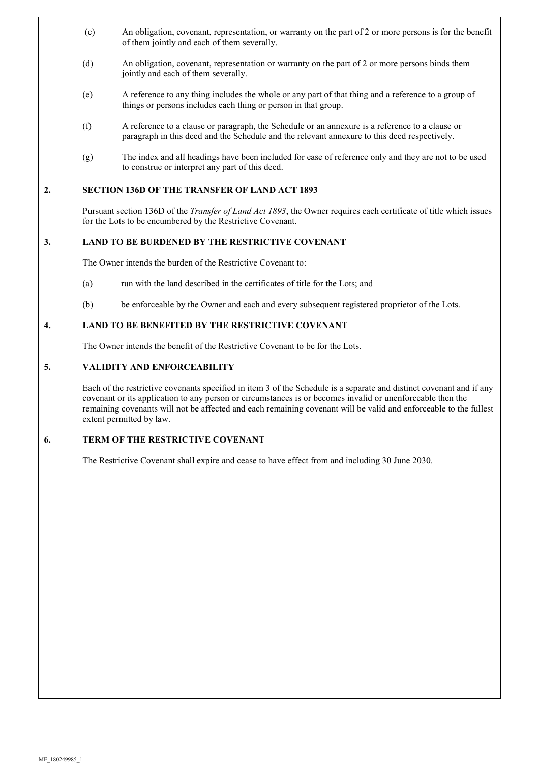- (c) An obligation, covenant, representation, or warranty on the part of 2 or more persons is for the benefit of them jointly and each of them severally.
- (d) An obligation, covenant, representation or warranty on the part of 2 or more persons binds them jointly and each of them severally.
- (e) A reference to any thing includes the whole or any part of that thing and a reference to a group of things or persons includes each thing or person in that group.
- (f) A reference to a clause or paragraph, the Schedule or an annexure is a reference to a clause or paragraph in this deed and the Schedule and the relevant annexure to this deed respectively.
- (g) The index and all headings have been included for ease of reference only and they are not to be used to construe or interpret any part of this deed.

#### **2. SECTION 136D OF THE TRANSFER OF LAND ACT 1893**

Pursuant section 136D of the *Transfer of Land Act 1893*, the Owner requires each certificate of title which issues for the Lots to be encumbered by the Restrictive Covenant.

#### **3. LAND TO BE BURDENED BY THE RESTRICTIVE COVENANT**

The Owner intends the burden of the Restrictive Covenant to:

- (a) run with the land described in the certificates of title for the Lots; and
- (b) be enforceable by the Owner and each and every subsequent registered proprietor of the Lots.

## **4. LAND TO BE BENEFITED BY THE RESTRICTIVE COVENANT**

The Owner intends the benefit of the Restrictive Covenant to be for the Lots.

#### **5. VALIDITY AND ENFORCEABILITY**

Each of the restrictive covenants specified in item 3 of the Schedule is a separate and distinct covenant and if any covenant or its application to any person or circumstances is or becomes invalid or unenforceable then the remaining covenants will not be affected and each remaining covenant will be valid and enforceable to the fullest extent permitted by law.

## **6. TERM OF THE RESTRICTIVE COVENANT**

The Restrictive Covenant shall expire and cease to have effect from and including 30 June 2030.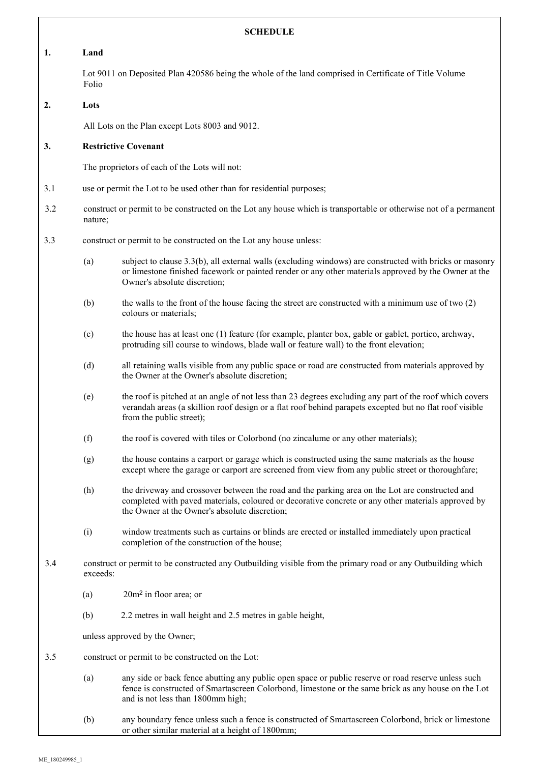| <b>SCHEDULE</b> |                                                                                                                                                                                                                                                       |                                                                                                                                                                                                                                                        |  |  |
|-----------------|-------------------------------------------------------------------------------------------------------------------------------------------------------------------------------------------------------------------------------------------------------|--------------------------------------------------------------------------------------------------------------------------------------------------------------------------------------------------------------------------------------------------------|--|--|
| 1.              | Land                                                                                                                                                                                                                                                  |                                                                                                                                                                                                                                                        |  |  |
|                 | Lot 9011 on Deposited Plan 420586 being the whole of the land comprised in Certificate of Title Volume<br>Folio                                                                                                                                       |                                                                                                                                                                                                                                                        |  |  |
| 2.              | Lots                                                                                                                                                                                                                                                  |                                                                                                                                                                                                                                                        |  |  |
|                 | All Lots on the Plan except Lots 8003 and 9012.                                                                                                                                                                                                       |                                                                                                                                                                                                                                                        |  |  |
| 3.              | <b>Restrictive Covenant</b>                                                                                                                                                                                                                           |                                                                                                                                                                                                                                                        |  |  |
|                 | The proprietors of each of the Lots will not:                                                                                                                                                                                                         |                                                                                                                                                                                                                                                        |  |  |
| 3.1             | use or permit the Lot to be used other than for residential purposes;                                                                                                                                                                                 |                                                                                                                                                                                                                                                        |  |  |
| 3.2             | construct or permit to be constructed on the Lot any house which is transportable or otherwise not of a permanent<br>nature;                                                                                                                          |                                                                                                                                                                                                                                                        |  |  |
| 3.3             | construct or permit to be constructed on the Lot any house unless:                                                                                                                                                                                    |                                                                                                                                                                                                                                                        |  |  |
|                 | (a)                                                                                                                                                                                                                                                   | subject to clause 3.3(b), all external walls (excluding windows) are constructed with bricks or masonry<br>or limestone finished facework or painted render or any other materials approved by the Owner at the<br>Owner's absolute discretion;        |  |  |
|                 | (b)                                                                                                                                                                                                                                                   | the walls to the front of the house facing the street are constructed with a minimum use of two (2)<br>colours or materials;                                                                                                                           |  |  |
|                 | (c)                                                                                                                                                                                                                                                   | the house has at least one (1) feature (for example, planter box, gable or gablet, portico, archway,<br>protruding sill course to windows, blade wall or feature wall) to the front elevation;                                                         |  |  |
|                 | (d)                                                                                                                                                                                                                                                   | all retaining walls visible from any public space or road are constructed from materials approved by<br>the Owner at the Owner's absolute discretion;                                                                                                  |  |  |
|                 | the roof is pitched at an angle of not less than 23 degrees excluding any part of the roof which covers<br>(e)<br>verandah areas (a skillion roof design or a flat roof behind parapets excepted but no flat roof visible<br>from the public street); |                                                                                                                                                                                                                                                        |  |  |
|                 | (f)                                                                                                                                                                                                                                                   | the roof is covered with tiles or Colorbond (no zincalume or any other materials);                                                                                                                                                                     |  |  |
|                 | (g)                                                                                                                                                                                                                                                   | the house contains a carport or garage which is constructed using the same materials as the house<br>except where the garage or carport are screened from view from any public street or thoroughfare;                                                 |  |  |
|                 | (h)                                                                                                                                                                                                                                                   | the driveway and crossover between the road and the parking area on the Lot are constructed and<br>completed with paved materials, coloured or decorative concrete or any other materials approved by<br>the Owner at the Owner's absolute discretion; |  |  |
|                 | (i)                                                                                                                                                                                                                                                   | window treatments such as curtains or blinds are erected or installed immediately upon practical<br>completion of the construction of the house;                                                                                                       |  |  |
| 3.4             | construct or permit to be constructed any Outbuilding visible from the primary road or any Outbuilding which<br>exceeds:                                                                                                                              |                                                                                                                                                                                                                                                        |  |  |
|                 | (a)                                                                                                                                                                                                                                                   | 20m <sup>2</sup> in floor area; or                                                                                                                                                                                                                     |  |  |
|                 | (b)                                                                                                                                                                                                                                                   | 2.2 metres in wall height and 2.5 metres in gable height,                                                                                                                                                                                              |  |  |
|                 | unless approved by the Owner;                                                                                                                                                                                                                         |                                                                                                                                                                                                                                                        |  |  |
| 3.5             |                                                                                                                                                                                                                                                       | construct or permit to be constructed on the Lot:                                                                                                                                                                                                      |  |  |
|                 | (a)                                                                                                                                                                                                                                                   | any side or back fence abutting any public open space or public reserve or road reserve unless such<br>fence is constructed of Smartascreen Colorbond, limestone or the same brick as any house on the Lot<br>and is not less than 1800mm high;        |  |  |
|                 | (b)                                                                                                                                                                                                                                                   | any boundary fence unless such a fence is constructed of Smartascreen Colorbond, brick or limestone<br>or other similar material at a height of 1800mm;                                                                                                |  |  |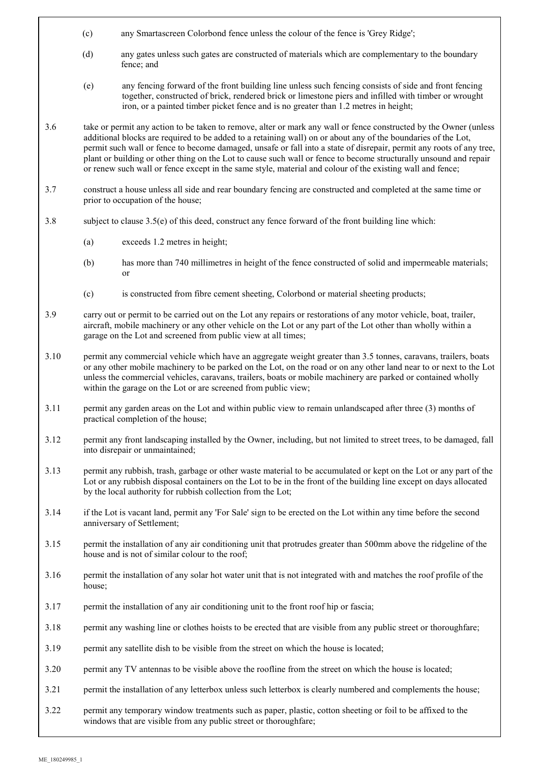- (c) any Smartascreen Colorbond fence unless the colour of the fence is 'Grey Ridge';
- (d) any gates unless such gates are constructed of materials which are complementary to the boundary fence; and
- (e) any fencing forward of the front building line unless such fencing consists of side and front fencing together, constructed of brick, rendered brick or limestone piers and infilled with timber or wrought iron, or a painted timber picket fence and is no greater than 1.2 metres in height;
- 3.6 take or permit any action to be taken to remove, alter or mark any wall or fence constructed by the Owner (unless additional blocks are required to be added to a retaining wall) on or about any of the boundaries of the Lot, permit such wall or fence to become damaged, unsafe or fall into a state of disrepair, permit any roots of any tree, plant or building or other thing on the Lot to cause such wall or fence to become structurally unsound and repair or renew such wall or fence except in the same style, material and colour of the existing wall and fence;
- 3.7 construct a house unless all side and rear boundary fencing are constructed and completed at the same time or prior to occupation of the house;
- 3.8 subject to clause 3.5(e) of this deed, construct any fence forward of the front building line which:
	- (a) exceeds 1.2 metres in height;
	- (b) has more than 740 millimetres in height of the fence constructed of solid and impermeable materials; or
	- (c) is constructed from fibre cement sheeting, Colorbond or material sheeting products;
- 3.9 carry out or permit to be carried out on the Lot any repairs or restorations of any motor vehicle, boat, trailer, aircraft, mobile machinery or any other vehicle on the Lot or any part of the Lot other than wholly within a garage on the Lot and screened from public view at all times;
- 3.10 permit any commercial vehicle which have an aggregate weight greater than 3.5 tonnes, caravans, trailers, boats or any other mobile machinery to be parked on the Lot, on the road or on any other land near to or next to the Lot unless the commercial vehicles, caravans, trailers, boats or mobile machinery are parked or contained wholly within the garage on the Lot or are screened from public view;
- 3.11 permit any garden areas on the Lot and within public view to remain unlandscaped after three (3) months of practical completion of the house;
- 3.12 permit any front landscaping installed by the Owner, including, but not limited to street trees, to be damaged, fall into disrepair or unmaintained;
- 3.13 permit any rubbish, trash, garbage or other waste material to be accumulated or kept on the Lot or any part of the Lot or any rubbish disposal containers on the Lot to be in the front of the building line except on days allocated by the local authority for rubbish collection from the Lot;
- 3.14 if the Lot is vacant land, permit any 'For Sale' sign to be erected on the Lot within any time before the second anniversary of Settlement;
- 3.15 permit the installation of any air conditioning unit that protrudes greater than 500mm above the ridgeline of the house and is not of similar colour to the roof;
- 3.16 permit the installation of any solar hot water unit that is not integrated with and matches the roof profile of the house;
- 3.17 permit the installation of any air conditioning unit to the front roof hip or fascia;
- 3.18 permit any washing line or clothes hoists to be erected that are visible from any public street or thoroughfare;
- 3.19 permit any satellite dish to be visible from the street on which the house is located;
- 3.20 permit any TV antennas to be visible above the roofline from the street on which the house is located;
- 3.21 permit the installation of any letterbox unless such letterbox is clearly numbered and complements the house;
- 3.22 permit any temporary window treatments such as paper, plastic, cotton sheeting or foil to be affixed to the windows that are visible from any public street or thoroughfare;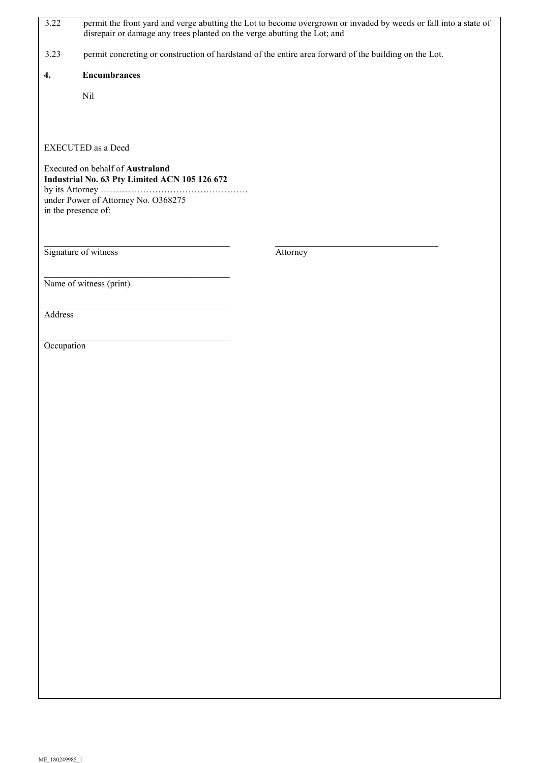| 3.22                                                                              | permit the front yard and verge abutting the Lot to become overgrown or invaded by weeds or fall into a state of<br>disrepair or damage any trees planted on the verge abutting the Lot; and |          |  |  |
|-----------------------------------------------------------------------------------|----------------------------------------------------------------------------------------------------------------------------------------------------------------------------------------------|----------|--|--|
| 3.23                                                                              | permit concreting or construction of hardstand of the entire area forward of the building on the Lot.                                                                                        |          |  |  |
| 4.                                                                                | <b>Encumbrances</b>                                                                                                                                                                          |          |  |  |
|                                                                                   | Nil                                                                                                                                                                                          |          |  |  |
|                                                                                   |                                                                                                                                                                                              |          |  |  |
|                                                                                   | EXECUTED as a Deed                                                                                                                                                                           |          |  |  |
| Executed on behalf of Australand<br>Industrial No. 63 Pty Limited ACN 105 126 672 |                                                                                                                                                                                              |          |  |  |
|                                                                                   |                                                                                                                                                                                              |          |  |  |
| under Power of Attorney No. O368275<br>in the presence of:                        |                                                                                                                                                                                              |          |  |  |
|                                                                                   |                                                                                                                                                                                              |          |  |  |
|                                                                                   |                                                                                                                                                                                              |          |  |  |
|                                                                                   | Signature of witness                                                                                                                                                                         | Attorney |  |  |
|                                                                                   | Name of witness (print)                                                                                                                                                                      |          |  |  |
|                                                                                   |                                                                                                                                                                                              |          |  |  |
| Address                                                                           |                                                                                                                                                                                              |          |  |  |
|                                                                                   |                                                                                                                                                                                              |          |  |  |
| Occupation                                                                        |                                                                                                                                                                                              |          |  |  |
|                                                                                   |                                                                                                                                                                                              |          |  |  |
|                                                                                   |                                                                                                                                                                                              |          |  |  |
|                                                                                   |                                                                                                                                                                                              |          |  |  |
|                                                                                   |                                                                                                                                                                                              |          |  |  |
|                                                                                   |                                                                                                                                                                                              |          |  |  |
|                                                                                   |                                                                                                                                                                                              |          |  |  |
|                                                                                   |                                                                                                                                                                                              |          |  |  |
|                                                                                   |                                                                                                                                                                                              |          |  |  |
|                                                                                   |                                                                                                                                                                                              |          |  |  |
|                                                                                   |                                                                                                                                                                                              |          |  |  |
|                                                                                   |                                                                                                                                                                                              |          |  |  |
|                                                                                   |                                                                                                                                                                                              |          |  |  |
|                                                                                   |                                                                                                                                                                                              |          |  |  |